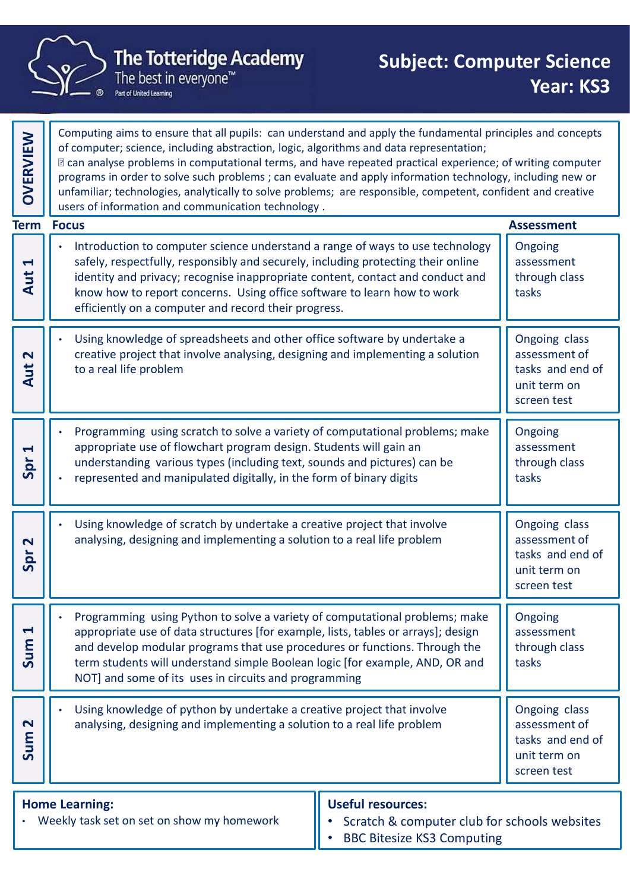

|                                  | <b>The Totteridge Academy</b><br><b>Subject: Computer Science</b><br>The best in everyone™<br>Part of United Learning                                                                                                                                                                                                                                                                                                                                                                                                                                                                                  | Year: KS3                                                                         |
|----------------------------------|--------------------------------------------------------------------------------------------------------------------------------------------------------------------------------------------------------------------------------------------------------------------------------------------------------------------------------------------------------------------------------------------------------------------------------------------------------------------------------------------------------------------------------------------------------------------------------------------------------|-----------------------------------------------------------------------------------|
| OVERVIEW                         | Computing aims to ensure that all pupils: can understand and apply the fundamental principles and concepts<br>of computer; science, including abstraction, logic, algorithms and data representation;<br>I can analyse problems in computational terms, and have repeated practical experience; of writing computer<br>programs in order to solve such problems; can evaluate and apply information technology, including new or<br>unfamiliar; technologies, analytically to solve problems; are responsible, competent, confident and creative<br>users of information and communication technology. |                                                                                   |
|                                  | <b>Term Focus</b>                                                                                                                                                                                                                                                                                                                                                                                                                                                                                                                                                                                      | <b>Assessment</b>                                                                 |
| $\blacktriangleleft$<br>Aut      | Introduction to computer science understand a range of ways to use technology<br>safely, respectfully, responsibly and securely, including protecting their online<br>identity and privacy; recognise inappropriate content, contact and conduct and<br>know how to report concerns. Using office software to learn how to work<br>efficiently on a computer and record their progress.                                                                                                                                                                                                                | Ongoing<br>assessment<br>through class<br>tasks                                   |
| $\mathbf N$<br>$\mathbf{u}$<br>⋖ | Using knowledge of spreadsheets and other office software by undertake a<br>creative project that involve analysing, designing and implementing a solution<br>to a real life problem                                                                                                                                                                                                                                                                                                                                                                                                                   | Ongoing class<br>assessment of<br>tasks and end of<br>unit term on<br>screen test |
| $\blacktriangleright$<br>Spr     | Programming using scratch to solve a variety of computational problems; make<br>appropriate use of flowchart program design. Students will gain an<br>understanding various types (including text, sounds and pictures) can be<br>represented and manipulated digitally, in the form of binary digits<br>$\bullet$                                                                                                                                                                                                                                                                                     | Ongoing<br>assessment<br>through class<br>tasks                                   |
| $\mathbf N$<br>Spr               | Using knowledge of scratch by undertake a creative project that involve<br>analysing, designing and implementing a solution to a real life problem                                                                                                                                                                                                                                                                                                                                                                                                                                                     | Ongoing class<br>assessment of<br>tasks and end of<br>unit term on<br>screen test |
| $\blacktriangleleft$<br>Sum      | Programming using Python to solve a variety of computational problems; make<br>appropriate use of data structures [for example, lists, tables or arrays]; design<br>and develop modular programs that use procedures or functions. Through the<br>term students will understand simple Boolean logic [for example, AND, OR and<br>NOT] and some of its uses in circuits and programming                                                                                                                                                                                                                | Ongoing<br>assessment<br>through class<br>tasks                                   |
| $\mathbf N$<br>Sum               | Using knowledge of python by undertake a creative project that involve<br>analysing, designing and implementing a solution to a real life problem                                                                                                                                                                                                                                                                                                                                                                                                                                                      | Ongoing class<br>assessment of<br>tasks and end of<br>unit term on<br>screen test |
|                                  | <b>Home Learning:</b><br><b>Useful resources:</b><br>• Weekly task set on set on show my homework<br>Scratch & computer club for schools websites<br>$\bullet$<br><b>BBC Bitesize KS3 Computing</b>                                                                                                                                                                                                                                                                                                                                                                                                    |                                                                                   |
|                                  |                                                                                                                                                                                                                                                                                                                                                                                                                                                                                                                                                                                                        |                                                                                   |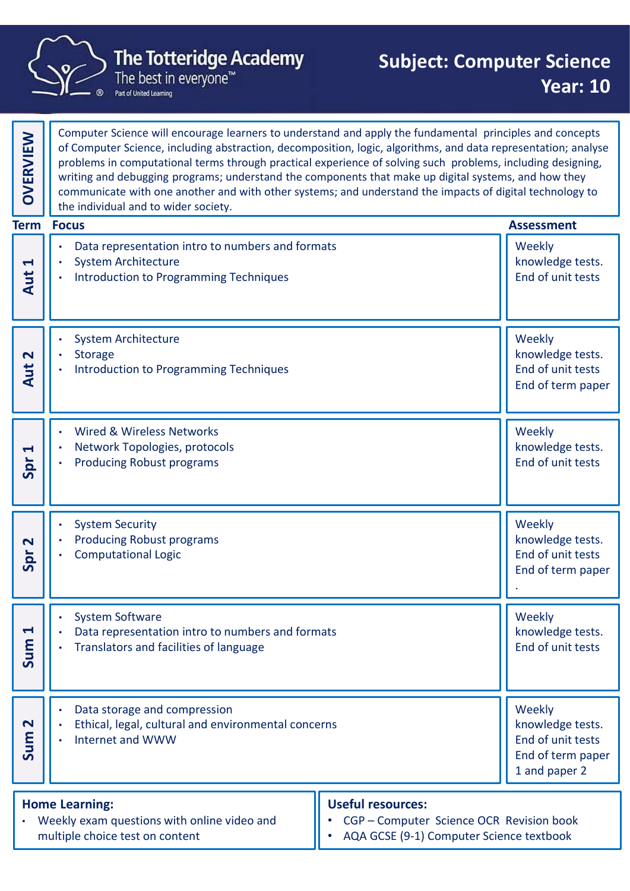

multiple choice test on content

• AQA GCSE (9-1) Computer Science textbook

Computer Science will encourage learners to understand and apply the fundamental principles and concepts of Computer Science, including abstraction, decomposition, logic, algorithms, and data representation; analyse problems in computational terms through practical experience of solving such problems, including designing,  $\parallel$ writing and debugging programs; understand the components that make up digital systems, and how they Computer science will encourage learners to understand and apply the rundamental principles and concepts<br>of Computer Science, including abstraction, decomposition, logic, algorithms, and data representation; analy<br>problems • Data representation intro to numbers and formats • System Architecture • Introduction to Programming Techniques **Weekly** knowledge tests. Here is a system Architecture<br>
Superior of the system Architecture<br>
Superior of the system Architecture<br>
Authorization to Programming Techniques<br>
Authorization of unit tests<br>
Authorization to Programming Techniques<br>
Author • System Architecture **Storage** • Introduction to Programming Techniques Weekly knowledge tests. End of unit tests.<br>  $\left\{\begin{array}{c} \bullet \bullet \\ \bullet \\ \bullet \end{array}\right\}$  End of unit tests End of unit tests and the structure of term paper  $\left\{\begin{array}{c} \bullet \bullet \\ \bullet \\ \bullet \end{array}\right\}$  End of term paper • Wired & Wireless Networks • Network Topologies, protocols • Producing Robust programs Weekly knowledge tests. End of unit tests.<br>
Spread of the producing Robust programs<br>
Spread of unit tests and the spread of unit tests and the spread of the spread of the spread of the spread of the spread of the spread of the spread of the sprea System Security • Producing Robust programs • Computational Logic Weekly knowledge tests. End of unit tests End of term paper  $\begin{bmatrix} 1 \\ 2 \\ 3 \\ 4 \end{bmatrix}$ . Producing Robust programs<br>  $\begin{bmatrix} 2 \\ 3 \\ 2 \end{bmatrix}$   $\begin{bmatrix} 1 \\ 2 \\ 3 \end{bmatrix}$   $\begin{bmatrix} 2 \\ 3 \\ 2 \end{bmatrix}$   $\begin{bmatrix} 3 \\ 2 \\ 3 \end{bmatrix}$   $\begin{bmatrix} 4 \\ 2 \\ 3 \end{bmatrix}$   $\begin{bmatrix} 1 \\ 2 \\ 3 \end{bmatrix}$   $\begin{bmatrix} 1 \\ 2 \\ 3 \end{bmatrix}$ System Software Data representation intro to numbers and formats • Translators and facilities of language **Weekly** knowledge tests.  $\left\{\begin{array}{c} \bullet \bullet \\ \bullet \end{array}\right\}$  . Data representation intro to numbers and formats<br>  $\left\{\begin{array}{c} \bullet \bullet \\ \bullet \end{array}\right\}$  Sum 1 and Sum 1 and Sum 1 and Sum 1 and Sum 1 and Sum 1 and Sum 1 and Sum 1 and Sum 1 and Sum 1 and Sum 1 and Sum Data storage and compression • Ethical, legal, cultural and environmental concerns • Internet and WWW Weekly knowledge tests. End of unit tests End of term paper 1 and paper 2 Summer and WWW and environmental concerns and www states.<br>
<br>
1 and paper 2 and paper 2 and paper 2 and paper 2 and paper 2 and paper 2 and paper 2 and paper 2 and paper 2 and paper 2 and paper 2 and paper 2 a The Totteridge Academy<br>
The Totteridge Academy<br>
The best in everyone"<br>
The best in everyone"<br>
Year: 10<br>
The best in everyone"<br>
Year: 10<br>
The best in everyone"<br>
Year: 10<br>
The best in everyone"<br>
Year: 10<br>
The best in everyon Home Learning: Weekly exam questions with online video and  $\|\cdot\|$  CGP – Computer Science OCR Revision book Useful resources: End of unit tests<br>
End of term paper<br>
End of term paper<br>
End of term paper<br>
Neekly<br>
knowledge tests.<br>
End of unit tests<br>
End of unit tests<br>
End of unit tests<br>
End of unit tests<br>
End of unit tests<br>
End of unit tests<br>
End of **Term Focus**